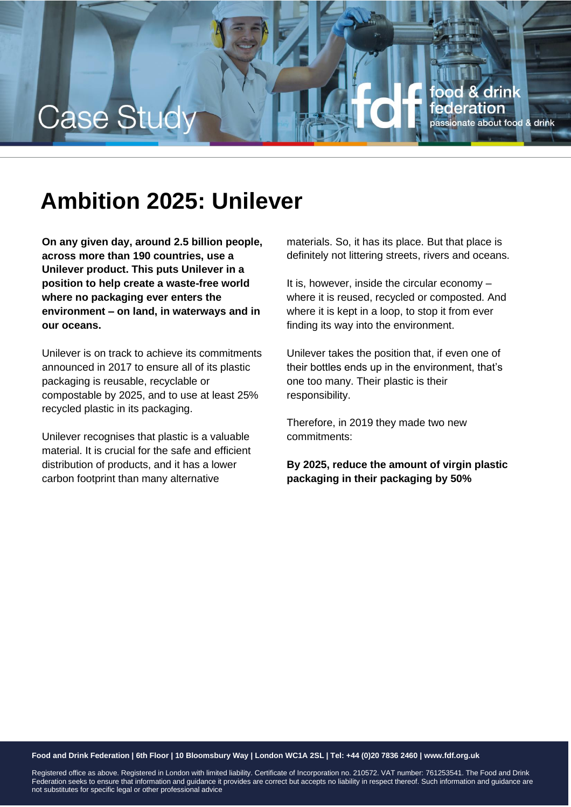

# **Ambition 2025: Unilever**

**On any given day, around 2.5 billion people, across more than 190 countries, use a Unilever product. This puts Unilever in a position to help create a waste-free world where no packaging ever enters the environment – on land, in waterways and in our oceans.**

Unilever is on track to achieve its commitments announced in 2017 to ensure all of its plastic packaging is reusable, recyclable or compostable by 2025, and to use at least 25% recycled plastic in its packaging.

Unilever recognises that plastic is a valuable material. It is crucial for the safe and efficient distribution of products, and it has a lower carbon footprint than many alternative

materials. So, it has its place. But that place is definitely not littering streets, rivers and oceans.

It is, however, inside the circular economy – where it is reused, recycled or composted. And where it is kept in a loop, to stop it from ever finding its way into the environment.

Unilever takes the position that, if even one of their bottles ends up in the environment, that's one too many. Their plastic is their responsibility.

Therefore, in 2019 they made two new commitments:

**By 2025, reduce the amount of virgin plastic packaging in their packaging by 50%**

### **Food and Drink Federation | 6th Floor | 10 Bloomsbury Way | London WC1A 2SL | Tel: +44 (0)20 7836 2460 | www.fdf.org.uk**

Registered office as above. Registered in London with limited liability. Certificate of Incorporation no. 210572. VAT number: 761253541. The Food and Drink Federation seeks to ensure that information and guidance it provides are correct but accepts no liability in respect thereof. Such information and guidance are not substitutes for specific legal or other professional advice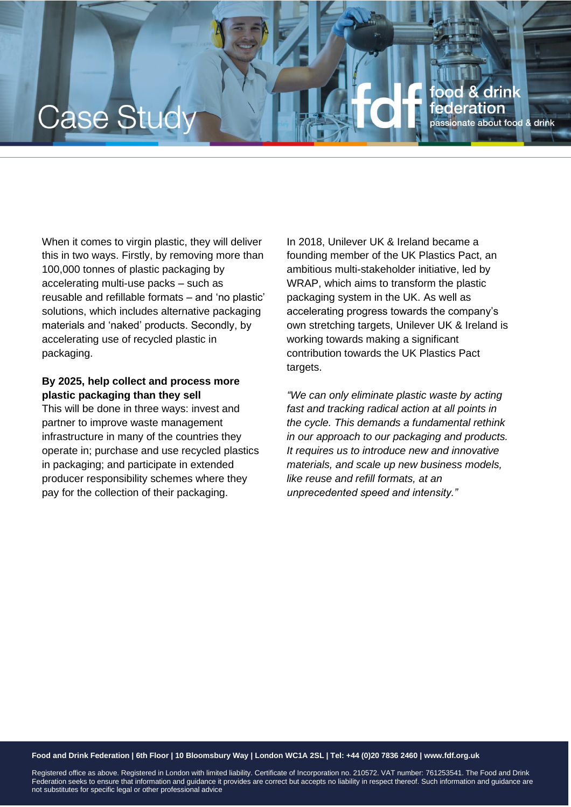## ood & drink Case Stu deration passionate about food & drink

When it comes to virgin plastic, they will deliver this in two ways. Firstly, by removing more than 100,000 tonnes of plastic packaging by accelerating multi-use packs – such as reusable and refillable formats – and 'no plastic' solutions, which includes alternative packaging materials and 'naked' products. Secondly, by accelerating use of recycled plastic in packaging.

## **By 2025, help collect and process more plastic packaging than they sell**

This will be done in three ways: invest and partner to improve waste management infrastructure in many of the countries they operate in; purchase and use recycled plastics in packaging; and participate in extended producer responsibility schemes where they pay for the collection of their packaging.

In 2018, Unilever UK & Ireland became a founding member of the UK Plastics Pact, an ambitious multi-stakeholder initiative, led by WRAP, which aims to transform the plastic packaging system in the UK. As well as accelerating progress towards the company's own stretching targets, Unilever UK & Ireland is working towards making a significant contribution towards the UK Plastics Pact targets.

*"We can only eliminate plastic waste by acting fast and tracking radical action at all points in the cycle. This demands a fundamental rethink in our approach to our packaging and products. It requires us to introduce new and innovative materials, and scale up new business models, like reuse and refill formats, at an unprecedented speed and intensity."*

#### **Food and Drink Federation | 6th Floor | 10 Bloomsbury Way | London WC1A 2SL | Tel: +44 (0)20 7836 2460 | www.fdf.org.uk**

Registered office as above. Registered in London with limited liability. Certificate of Incorporation no. 210572. VAT number: 761253541. The Food and Drink Federation seeks to ensure that information and guidance it provides are correct but accepts no liability in respect thereof. Such information and guidance are not substitutes for specific legal or other professional advice